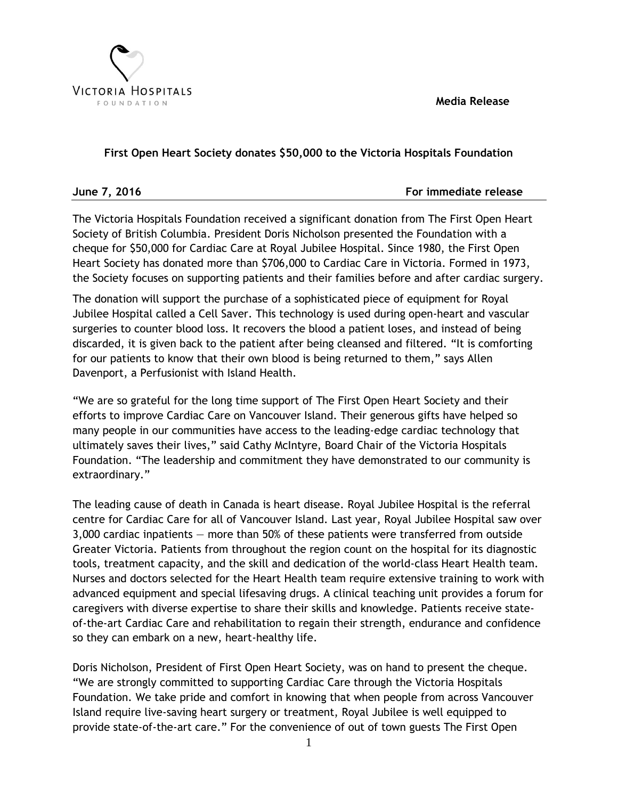**Media Release**



# **First Open Heart Society donates \$50,000 to the Victoria Hospitals Foundation**

**June 7, 2016** For immediate release

The Victoria Hospitals Foundation received a significant donation from The First Open Heart Society of British Columbia. President Doris Nicholson presented the Foundation with a cheque for \$50,000 for Cardiac Care at Royal Jubilee Hospital. Since 1980, the First Open Heart Society has donated more than \$706,000 to Cardiac Care in Victoria. Formed in 1973, the Society focuses on supporting patients and their families before and after cardiac surgery.

The donation will support the purchase of a sophisticated piece of equipment for Royal Jubilee Hospital called a Cell Saver. This technology is used during open-heart and vascular surgeries to counter blood loss. It recovers the blood a patient loses, and instead of being discarded, it is given back to the patient after being cleansed and filtered. "It is comforting for our patients to know that their own blood is being returned to them," says Allen Davenport, a Perfusionist with Island Health.

"We are so grateful for the long time support of The First Open Heart Society and their efforts to improve Cardiac Care on Vancouver Island. Their generous gifts have helped so many people in our communities have access to the leading-edge cardiac technology that ultimately saves their lives," said Cathy McIntyre, Board Chair of the Victoria Hospitals Foundation. "The leadership and commitment they have demonstrated to our community is extraordinary."

The leading cause of death in Canada is heart disease. Royal Jubilee Hospital is the referral centre for Cardiac Care for all of Vancouver Island. Last year, Royal Jubilee Hospital saw over 3,000 cardiac inpatients — more than 50% of these patients were transferred from outside Greater Victoria. Patients from throughout the region count on the hospital for its diagnostic tools, treatment capacity, and the skill and dedication of the world-class Heart Health team. Nurses and doctors selected for the Heart Health team require extensive training to work with advanced equipment and special lifesaving drugs. A clinical teaching unit provides a forum for caregivers with diverse expertise to share their skills and knowledge. Patients receive stateof-the-art Cardiac Care and rehabilitation to regain their strength, endurance and confidence so they can embark on a new, heart-healthy life.

Doris Nicholson, President of First Open Heart Society, was on hand to present the cheque. "We are strongly committed to supporting Cardiac Care through the Victoria Hospitals Foundation. We take pride and comfort in knowing that when people from across Vancouver Island require live-saving heart surgery or treatment, Royal Jubilee is well equipped to provide state-of-the-art care." For the convenience of out of town guests The First Open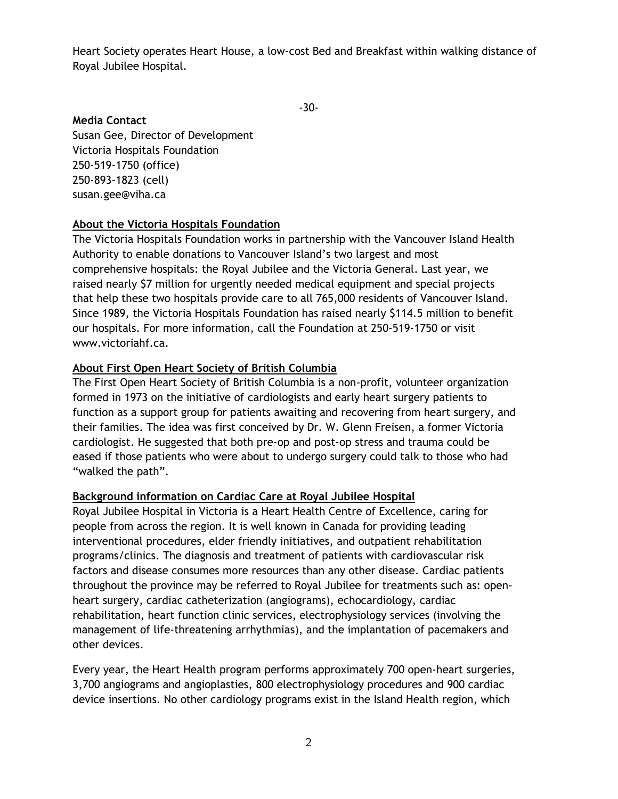Heart Society operates Heart House, a low-cost Bed and Breakfast within walking distance of Royal Jubilee Hospital.

-30-

## **Media Contact**

Susan Gee, Director of Development Victoria Hospitals Foundation 250-519-1750 (office) 250-893-1823 (cell) susan.gee@viha.ca

### **About the Victoria Hospitals Foundation**

The Victoria Hospitals Foundation works in partnership with the Vancouver Island Health Authority to enable donations to Vancouver Island's two largest and most comprehensive hospitals: the Royal Jubilee and the Victoria General. Last year, we raised nearly \$7 million for urgently needed medical equipment and special projects that help these two hospitals provide care to all 765,000 residents of Vancouver Island. Since 1989, the Victoria Hospitals Foundation has raised nearly \$114.5 million to benefit our hospitals. For more information, call the Foundation at 250-519-1750 or visit [www.victoriahf.ca.](http://www.victoriahf.ca/)

### **About First Open Heart Society of British Columbia**

The First Open Heart Society of British Columbia is a non-profit, volunteer organization formed in 1973 on the initiative of cardiologists and early heart surgery patients to function as a support group for patients awaiting and recovering from heart surgery, and their families. The idea was first conceived by Dr. W. Glenn Freisen, a former Victoria cardiologist. He suggested that both pre-op and post-op stress and trauma could be eased if those patients who were about to undergo surgery could talk to those who had "walked the path".

### **Background information on Cardiac Care at Royal Jubilee Hospital**

[Royal Jubilee Hospital](http://www.viha.ca/locations/royal_jubilee_hospital.htm) in Victoria is a Heart Health Centre of Excellence, caring for people from across the region. It is well known in Canada for providing leading interventional procedures, elder friendly initiatives, and outpatient rehabilitation programs/clinics. The diagnosis and treatment of patients with cardiovascular risk factors and disease consumes more resources than any other disease. Cardiac patients throughout the province may be referred to Royal Jubilee for treatments such as: openheart surgery, cardiac catheterization (angiograms), echocardiology, cardiac rehabilitation, heart function clinic services, electrophysiology services (involving the management of life-threatening arrhythmias), and the implantation of pacemakers and other devices.

Every year, the Heart Health program performs approximately 700 open-heart surgeries, 3,700 angiograms and angioplasties, 800 electrophysiology procedures and 900 cardiac device insertions. No other cardiology programs exist in the Island Health region, which